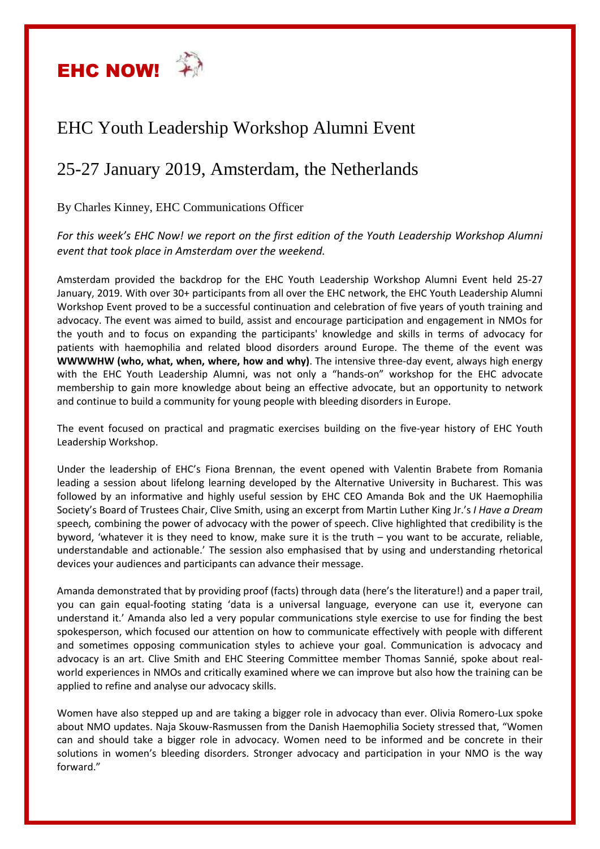

## EHC Youth Leadership Workshop Alumni Event

## 25-27 January 2019, Amsterdam, the Netherlands

By Charles Kinney, EHC Communications Officer

*For this week's EHC Now! we report on the first edition of the Youth Leadership Workshop Alumni event that took place in Amsterdam over the weekend.*

Amsterdam provided the backdrop for the EHC Youth Leadership Workshop Alumni Event held 25-27 January, 2019. With over 30+ participants from all over the EHC network, the EHC Youth Leadership Alumni Workshop Event proved to be a successful continuation and celebration of five years of youth training and advocacy. The event was aimed to build, assist and encourage participation and engagement in NMOs for the youth and to focus on expanding the participants' knowledge and skills in terms of advocacy for patients with haemophilia and related blood disorders around Europe. The theme of the event was **WWWWHW (who, what, when, where, how and why)**. The intensive three-day event, always high energy with the EHC Youth Leadership Alumni, was not only a "hands-on" workshop for the EHC advocate membership to gain more knowledge about being an effective advocate, but an opportunity to network and continue to build a community for young people with bleeding disorders in Europe.

The event focused on practical and pragmatic exercises building on the five-year history of EHC Youth Leadership Workshop.

Under the leadership of EHC's Fiona Brennan, the event opened with Valentin Brabete from Romania leading a session about lifelong learning developed by the Alternative University in Bucharest. This was followed by an informative and highly useful session by EHC CEO Amanda Bok and the UK Haemophilia Society's Board of Trustees Chair, Clive Smith, using an excerpt from Martin Luther King Jr.'s *I Have a Dream* speech*,* combining the power of advocacy with the power of speech. Clive highlighted that credibility is the byword, 'whatever it is they need to know, make sure it is the truth – you want to be accurate, reliable, understandable and actionable.' The session also emphasised that by using and understanding rhetorical devices your audiences and participants can advance their message.

Amanda demonstrated that by providing proof (facts) through data (here's the literature!) and a paper trail, you can gain equal-footing stating 'data is a universal language, everyone can use it, everyone can understand it.' Amanda also led a very popular communications style exercise to use for finding the best spokesperson, which focused our attention on how to communicate effectively with people with different and sometimes opposing communication styles to achieve your goal. Communication is advocacy and advocacy is an art. Clive Smith and EHC Steering Committee member Thomas Sannié, spoke about realworld experiences in NMOs and critically examined where we can improve but also how the training can be applied to refine and analyse our advocacy skills.

Women have also stepped up and are taking a bigger role in advocacy than ever. Olivia Romero-Lux spoke about NMO updates. Naja Skouw-Rasmussen from the Danish Haemophilia Society stressed that, "Women can and should take a bigger role in advocacy. Women need to be informed and be concrete in their solutions in women's bleeding disorders. Stronger advocacy and participation in your NMO is the way forward."